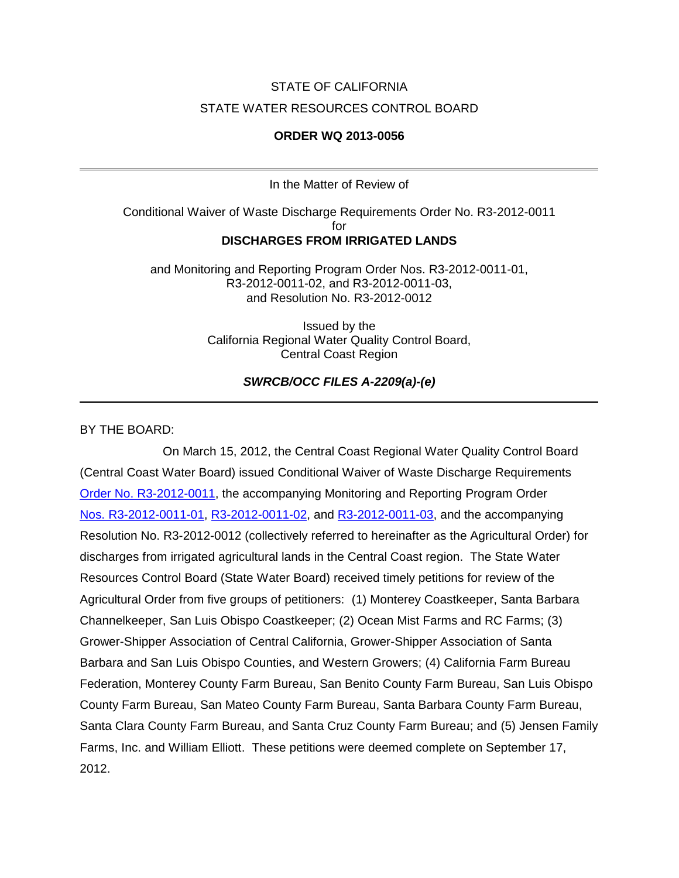# STATE OF CALIFORNIA STATE WATER RESOURCES CONTROL BOARD

#### **ORDER WQ 2013-0056**

In the Matter of Review of

Conditional Waiver of Waste Discharge Requirements Order No. R3-2012-0011 for **DISCHARGES FROM IRRIGATED LANDS**

and Monitoring and Reporting Program Order Nos. R3-2012-0011-01, R3-2012-0011-02, and R3-2012-0011-03, and Resolution No. R3-2012-0012

> Issued by the California Regional Water Quality Control Board, Central Coast Region

> > *SWRCB/OCC FILES A-2209(a)-(e)*

BY THE BOARD:

On March 15, 2012, the Central Coast Regional Water Quality Control Board (Central Coast Water Board) issued Conditional Waiver of Waste Discharge Requirements [Order No. R3-2012-0011,](http://www.waterboards.ca.gov/centralcoast/water_issues/programs/ag_waivers/docs/ag_order/final_agorder_atta_032612.pdf) the accompanying Monitoring and Reporting Program Order Nos. [R3-2012-0011-01,](http://www.waterboards.ca.gov/centralcoast/water_issues/programs/ag_waivers/docs/adopted2012ag_order/2013_r3-2012-0011-01_mrp-tier1.pdf) [R3-2012-0011-02,](http://www.waterboards.ca.gov/centralcoast/water_issues/programs/ag_waivers/docs/adopted2012ag_order/2013_r3-2012-0011-02_mrp-tier2.pdf) and [R3-2012-0011-03,](http://www.waterboards.ca.gov/centralcoast/water_issues/programs/ag_waivers/docs/adopted2012ag_order/2013_r3-2012-0011-03_mrp-tier3.pdf) and the accompanying Resolution No. R3-2012-0012 (collectively referred to hereinafter as the Agricultural Order) for discharges from irrigated agricultural lands in the Central Coast region. The State Water Resources Control Board (State Water Board) received timely petitions for review of the Agricultural Order from five groups of petitioners: (1) Monterey Coastkeeper, Santa Barbara Channelkeeper, San Luis Obispo Coastkeeper; (2) Ocean Mist Farms and RC Farms; (3) Grower-Shipper Association of Central California, Grower-Shipper Association of Santa Barbara and San Luis Obispo Counties, and Western Growers; (4) California Farm Bureau Federation, Monterey County Farm Bureau, San Benito County Farm Bureau, San Luis Obispo County Farm Bureau, San Mateo County Farm Bureau, Santa Barbara County Farm Bureau, Santa Clara County Farm Bureau, and Santa Cruz County Farm Bureau; and (5) Jensen Family Farms, Inc. and William Elliott. These petitions were deemed complete on September 17, 2012.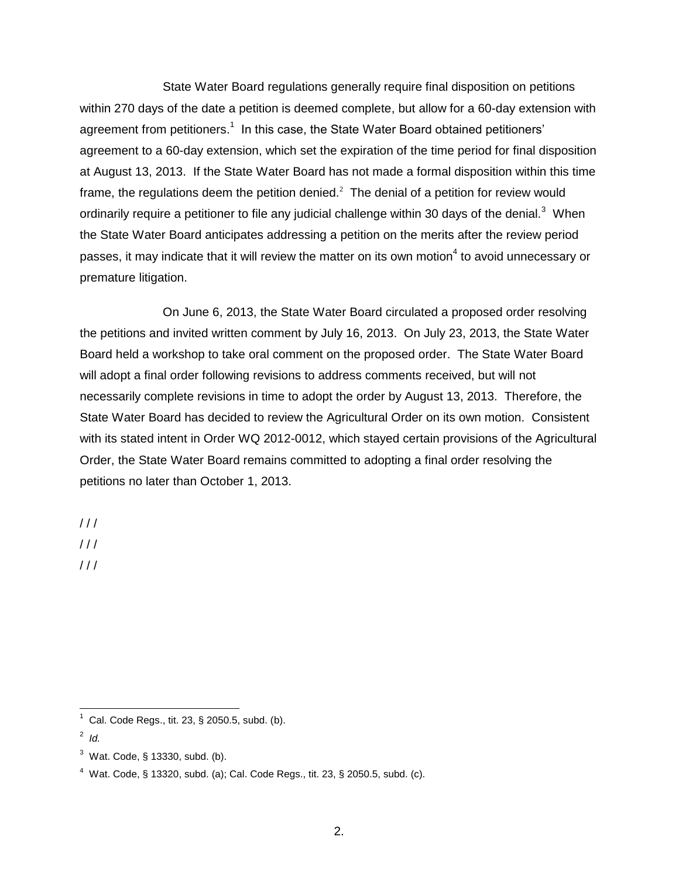State Water Board regulations generally require final disposition on petitions within 270 days of the date a petition is deemed complete, but allow for a 60-day extension with agreement from petitioners.<sup>1</sup> In this case, the State Water Board obtained petitioners' agreement to a 60-day extension, which set the expiration of the time period for final disposition at August 13, 2013. If the State Water Board has not made a formal disposition within this time frame, the regulations deem the petition denied.<sup>2</sup> The denial of a petition for review would ordinarily require a petitioner to file any judicial challenge within 30 days of the denial.<sup>3</sup> When the State Water Board anticipates addressing a petition on the merits after the review period passes, it may indicate that it will review the matter on its own motion<sup>4</sup> to avoid unnecessary or premature litigation.

On June 6, 2013, the State Water Board circulated a proposed order resolving the petitions and invited written comment by July 16, 2013. On July 23, 2013, the State Water Board held a workshop to take oral comment on the proposed order. The State Water Board will adopt a final order following revisions to address comments received, but will not necessarily complete revisions in time to adopt the order by August 13, 2013. Therefore, the State Water Board has decided to review the Agricultural Order on its own motion. Consistent with its stated intent in Order WQ 2012-0012, which stayed certain provisions of the Agricultural Order, the State Water Board remains committed to adopting a final order resolving the petitions no later than October 1, 2013.

 $/$  /  $/$ 

 $111$ 

/ / /

 1 Cal. Code Regs., tit. 23, § 2050.5, subd. (b).

<sup>2</sup> *Id.*

 $3$  Wat. Code, § 13330, subd. (b).

 $4$  Wat. Code, § 13320, subd. (a); Cal. Code Regs., tit. 23, § 2050.5, subd. (c).